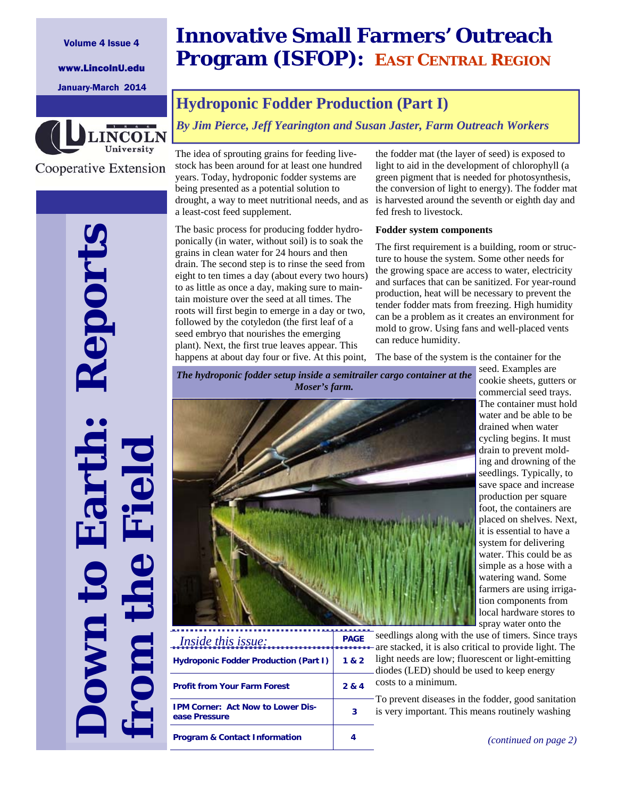### Volume 4 Issue 4

www.LincolnU.edu

January-March 2014



Cooperative Extension

**Down to Earth: Reports** 

Report

**from the Field**

# **Innovative Small Farmers' Outreach Program (ISFOP): EAST CENTRAL REGION**

# **Hydroponic Fodder Production (Part I)**

*By Jim Pierce, Jeff Yearington and Susan Jaster, Farm Outreach Workers*

The idea of sprouting grains for feeding livestock has been around for at least one hundred years. Today, hydroponic fodder systems are being presented as a potential solution to drought, a way to meet nutritional needs, and as a least-cost feed supplement.

The basic process for producing fodder hydroponically (in water, without soil) is to soak the grains in clean water for 24 hours and then drain. The second step is to rinse the seed from eight to ten times a day (about every two hours) to as little as once a day, making sure to maintain moisture over the seed at all times. The roots will first begin to emerge in a day or two, followed by the cotyledon (the first leaf of a seed embryo that nourishes the emerging plant). Next, the first true leaves appear. This happens at about day four or five. At this point, the fodder mat (the layer of seed) is exposed to light to aid in the development of chlorophyll (a green pigment that is needed for photosynthesis, the conversion of light to energy). The fodder mat is harvested around the seventh or eighth day and fed fresh to livestock.

### **Fodder system components**

The first requirement is a building, room or structure to house the system. Some other needs for the growing space are access to water, electricity and surfaces that can be sanitized. For year-round production, heat will be necessary to prevent the tender fodder mats from freezing. High humidity can be a problem as it creates an environment for mold to grow. Using fans and well-placed vents can reduce humidity.

The base of the system is the container for the

*The hydroponic fodder setup inside a semitrailer cargo container at the Moser's farm.* 



**PAGE Hydroponic Fodder Production (Part I) 1 & 2 Profit from Your Farm Forest 2 & 4 IPM Corner: Act Now to Lower Disease Pressure** *act NOW to LOWER DIS-* 3 **Program & Contact Information 4**  *Inside this issue:* 

seed. Examples are cookie sheets, gutters or commercial seed trays. The container must hold water and be able to be drained when water cycling begins. It must drain to prevent molding and drowning of the seedlings. Typically, to save space and increase production per square foot, the containers are placed on shelves. Next, it is essential to have a system for delivering water. This could be as simple as a hose with a watering wand. Some farmers are using irrigation components from local hardware stores to spray water onto the

seedlings along with the use of timers. Since trays are stacked, it is also critical to provide light. The light needs are low; fluorescent or light-emitting diodes (LED) should be used to keep energy costs to a minimum.

To prevent diseases in the fodder, good sanitation is very important. This means routinely washing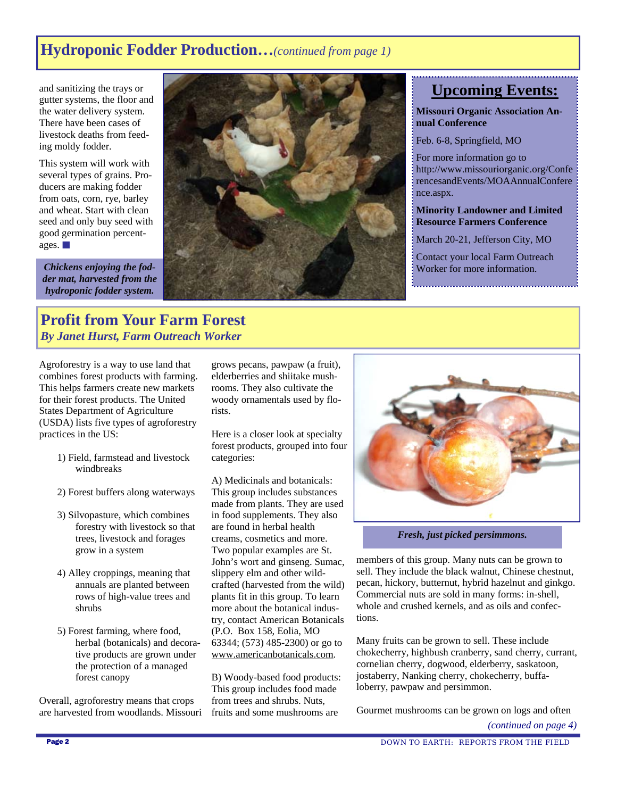# **Hydroponic Fodder Production…***(continued from page 1)*

and sanitizing the trays or gutter systems, the floor and the water delivery system. There have been cases of livestock deaths from feeding moldy fodder.

This system will work with several types of grains. Producers are making fodder from oats, corn, rye, barley and wheat. Start with clean seed and only buy seed with good germination percentages.

*Chickens enjoying the fodder mat, harvested from the hydroponic fodder system.*



# **Upcoming Events:**

**Missouri Organic Association Annual Conference** 

Feb. 6-8, Springfield, MO

For more information go to http://www.missouriorganic.org/Confe rencesandEvents/MOAAnnualConfere nce.aspx.

**Minority Landowner and Limited Resource Farmers Conference** 

March 20-21, Jefferson City, MO

Contact your local Farm Outreach Worker for more information.

## **Profit from Your Farm Forest**  *By Janet Hurst, Farm Outreach Worker*

Agroforestry is a way to use land that combines forest products with farming. This helps farmers create new markets for their forest products. The United States Department of Agriculture (USDA) lists five types of agroforestry practices in the US:

- 1) Field, farmstead and livestock windbreaks
- 2) Forest buffers along waterways
- 3) Silvopasture, which combines forestry with livestock so that trees, livestock and forages grow in a system
- 4) Alley croppings, meaning that annuals are planted between rows of high-value trees and shrubs
- 5) Forest farming, where food, herbal (botanicals) and decorative products are grown under the protection of a managed forest canopy

Overall, agroforestry means that crops are harvested from woodlands. Missouri grows pecans, pawpaw (a fruit), elderberries and shiitake mushrooms. They also cultivate the woody ornamentals used by florists.

Here is a closer look at specialty forest products, grouped into four categories:

A) Medicinals and botanicals: This group includes substances made from plants. They are used in food supplements. They also are found in herbal health creams, cosmetics and more. Two popular examples are St. John's wort and ginseng. Sumac, slippery elm and other wildcrafted (harvested from the wild) plants fit in this group. To learn more about the botanical industry, contact American Botanicals (P.O. Box 158, Eolia, MO 63344; (573) 485-2300) or go to www.americanbotanicals.com.

B) Woody-based food products: This group includes food made from trees and shrubs. Nuts, fruits and some mushrooms are



*Fresh, just picked persimmons.* 

members of this group. Many nuts can be grown to sell. They include the black walnut, Chinese chestnut, pecan, hickory, butternut, hybrid hazelnut and ginkgo. Commercial nuts are sold in many forms: in-shell, whole and crushed kernels, and as oils and confections.

Many fruits can be grown to sell. These include chokecherry, highbush cranberry, sand cherry, currant, cornelian cherry, dogwood, elderberry, saskatoon, jostaberry, Nanking cherry, chokecherry, buffaloberry, pawpaw and persimmon.

Gourmet mushrooms can be grown on logs and often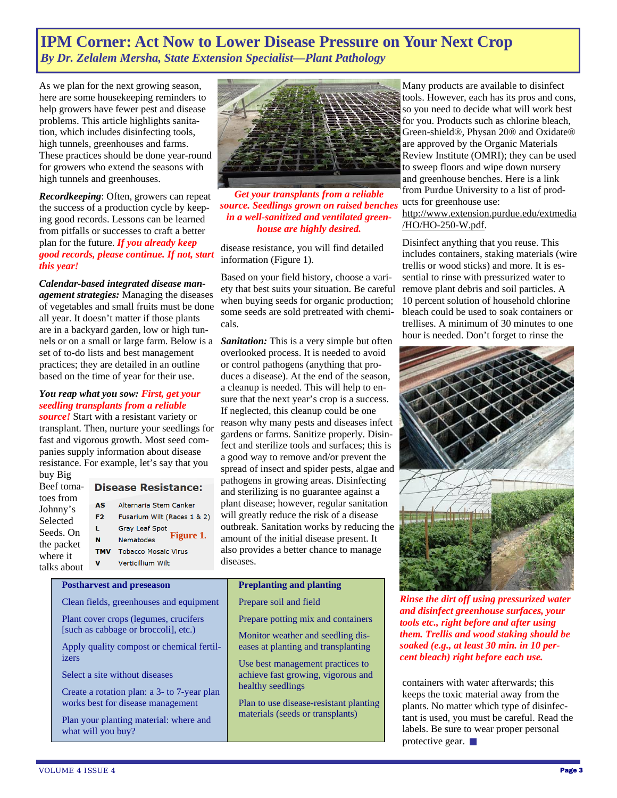# **IPM Corner: Act Now to Lower Disease Pressure on Your Next Crop**  *By Dr. Zelalem Mersha, State Extension Specialist—Plant Pathology*

As we plan for the next growing season, here are some housekeeping reminders to help growers have fewer pest and disease problems. This article highlights sanitation, which includes disinfecting tools, high tunnels, greenhouses and farms. These practices should be done year-round for growers who extend the seasons with high tunnels and greenhouses.

*Recordkeeping*: Often, growers can repeat the success of a production cycle by keeping good records. Lessons can be learned from pitfalls or successes to craft a better plan for the future. *If you already keep good records, please continue. If not, start this year!*

### *Calendar-based integrated disease man-*

*agement strategies:* Managing the diseases of vegetables and small fruits must be done all year. It doesn't matter if those plants are in a backyard garden, low or high tunnels or on a small or large farm. Below is a set of to-do lists and best management practices; they are detailed in an outline based on the time of year for their use.

### *You reap what you sow: First, get your seedling transplants from a reliable*

*source!* Start with a resistant variety or transplant. Then, nurture your seedlings for fast and vigorous growth. Most seed companies supply information about disease resistance. For example, let's say that you buy Big

Beef tomatoes from Johnny's Selected Seeds. On the packet where it talks about

### **Disease Resistance:**

- **AS** Alternaria Stem Canker F<sub>2</sub> Fusarium Wilt (Races 1 & 2) L. Gray Leaf Spot **Figure 1.**  $\mathbf N$ Nematodes **TMV** Tobacco Mosaic Virus
	- $\mathbf{v}$ Verticillium Wilt

Clean fields, greenhouses and equipment Plant cover crops (legumes, crucifers [such as cabbage or broccoli], etc.)

Apply quality compost or chemical fertil-

Create a rotation plan: a 3- to 7-year plan works best for disease management Plan your planting material: where and

**Postharvest and preseason** 

Select a site without diseases

what will you buy?



*Get your transplants from a reliable source. Seedlings grown on raised benches in a well-sanitized and ventilated greenhouse are highly desired.* 

disease resistance, you will find detailed information (Figure 1).

Based on your field history, choose a variety that best suits your situation. Be careful when buying seeds for organic production; some seeds are sold pretreated with chemicals.

*Sanitation:* This is a very simple but often overlooked process. It is needed to avoid or control pathogens (anything that produces a disease). At the end of the season, a cleanup is needed. This will help to ensure that the next year's crop is a success. If neglected, this cleanup could be one reason why many pests and diseases infect gardens or farms. Sanitize properly. Disinfect and sterilize tools and surfaces; this is a good way to remove and/or prevent the spread of insect and spider pests, algae and pathogens in growing areas. Disinfecting and sterilizing is no guarantee against a plant disease; however, regular sanitation will greatly reduce the risk of a disease outbreak. Sanitation works by reducing the amount of the initial disease present. It also provides a better chance to manage diseases.

### **Preplanting and planting**

- Prepare soil and field Prepare potting mix and containers
	- Monitor weather and seedling diseases at planting and transplanting

Use best management practices to achieve fast growing, vigorous and healthy seedlings

Plan to use disease-resistant planting materials (seeds or transplants)

Many products are available to disinfect tools. However, each has its pros and cons, so you need to decide what will work best for you. Products such as chlorine bleach, Green-shield®, Physan 20® and Oxidate® are approved by the Organic Materials Review Institute (OMRI); they can be used to sweep floors and wipe down nursery and greenhouse benches. Here is a link from Purdue University to a list of products for greenhouse use: http://www.extension.purdue.edu/extmedia

Disinfect anything that you reuse. This includes containers, staking materials (wire trellis or wood sticks) and more. It is essential to rinse with pressurized water to remove plant debris and soil particles. A 10 percent solution of household chlorine bleach could be used to soak containers or trellises. A minimum of 30 minutes to one hour is needed. Don't forget to rinse the

/HO/HO-250-W.pdf.



*Rinse the dirt off using pressurized water and disinfect greenhouse surfaces, your tools etc., right before and after using them. Trellis and wood staking should be soaked (e.g., at least 30 min. in 10 percent bleach) right before each use.* 

containers with water afterwards; this keeps the toxic material away from the plants. No matter which type of disinfectant is used, you must be careful. Read the labels. Be sure to wear proper personal protective gear.

izers